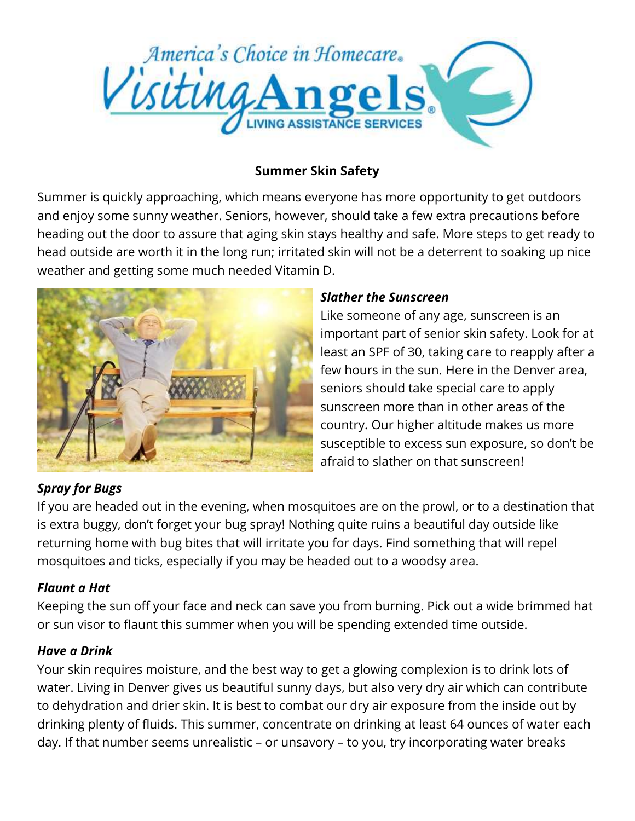

## **Summer Skin Safety**

Summer is quickly approaching, which means everyone has more opportunity to get outdoors and enjoy some sunny weather. Seniors, however, should take a few extra precautions before heading out the door to assure that aging skin stays healthy and safe. More steps to get ready to head outside are worth it in the long run; irritated skin will not be a deterrent to soaking up nice weather and getting some much needed Vitamin D.



### *Slather the Sunscreen*

Like someone of any age, sunscreen is an important part of senior skin safety. Look for at least an SPF of 30, taking care to reapply after a few hours in the sun. Here in the Denver area, seniors should take special care to apply sunscreen more than in other areas of the country. Our higher altitude makes us more susceptible to excess sun exposure, so don't be afraid to slather on that sunscreen!

# *Spray for Bugs*

If you are headed out in the evening, when mosquitoes are on the prowl, or to a destination that is extra buggy, don't forget your bug spray! Nothing quite ruins a beautiful day outside like returning home with bug bites that will irritate you for days. Find something that will repel mosquitoes and ticks, especially if you may be headed out to a woodsy area.

# *Flaunt a Hat*

Keeping the sun off your face and neck can save you from burning. Pick out a wide brimmed hat or sun visor to flaunt this summer when you will be spending extended time outside.

### *Have a Drink*

Your skin requires moisture, and the best way to get a glowing complexion is to drink lots of water. Living in Denver gives us beautiful sunny days, but also very dry air which can contribute to dehydration and drier skin. It is best to combat our dry air exposure from the inside out by drinking plenty of fluids. This summer, concentrate on drinking at least 64 ounces of water each day. If that number seems unrealistic – or unsavory – to you, try incorporating water breaks